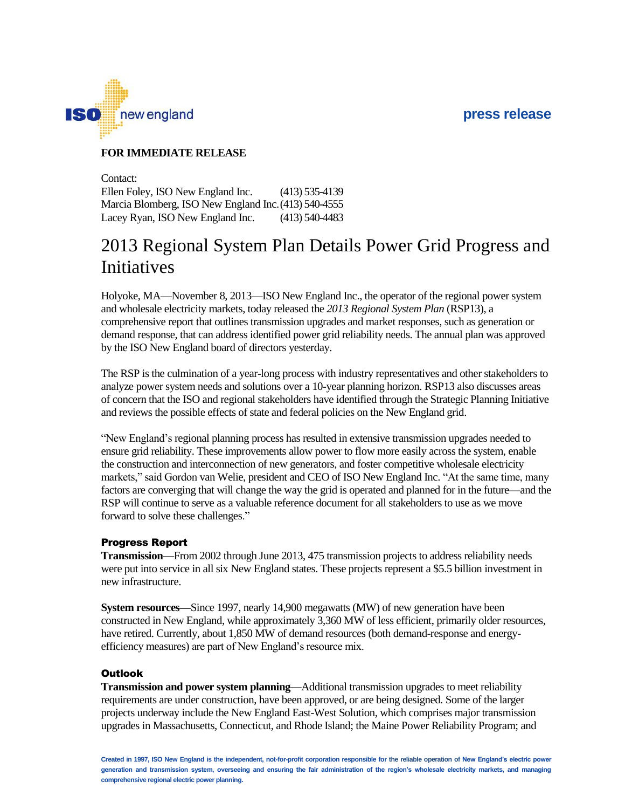## **press release**



### **FOR IMMEDIATE RELEASE**

Contact: Ellen Foley, ISO New England Inc. Marcia Blomberg, ISO New England Inc. (413) 540-4555 Lacey Ryan, ISO New England Inc. (413) 535-4139 (413) 540-4483

# 2013 Regional System Plan Details Power Grid Progress and Initiatives

Holyoke, MA—November 8, 2013—ISO New England Inc., the operator of the regional power system and wholesale electricity markets, today released the *2013 Regional System Plan* (RSP13), a comprehensive report that outlines transmission upgrades and market responses, such as generation or demand response, that can address identified power grid reliability needs. The annual plan was approved by the ISO New England board of directors yesterday.

The RSP is the culmination of a year-long process with industry representatives and other stakeholders to analyze power system needs and solutions over a 10-year planning horizon. RSP13 also discusses areas of concern that the ISO and regional stakeholders have identified through the Strategic Planning Initiative and reviews the possible effects of state and federal policies on the New England grid.

"New England's regional planning process has resulted in extensive transmission upgrades needed to ensure grid reliability. These improvements allow power to flow more easily across the system, enable the construction and interconnection of new generators, and foster competitive wholesale electricity markets," said Gordon van Welie, president and CEO of ISO New England Inc. "At the same time, many factors are converging that will change the way the grid is operated and planned for in the future—and the RSP will continue to serve as a valuable reference document for all stakeholders to use as we move forward to solve these challenges."

#### Progress Report

**Transmission—**From 2002 through June 2013, 475 transmission projects to address reliability needs were put into service in all six New England states. These projects represent a \$5.5 billion investment in new infrastructure.

**System resources—Since 1997, nearly 14,900 megawatts (MW) of new generation have been** constructed in New England, while approximately 3,360 MW of less efficient, primarily older resources, have retired. Currently, about 1,850 MW of demand resources (both demand-response and energyefficiency measures) are part of New England's resource mix.

#### **Outlook**

**Transmission and power system planning—**Additional transmission upgrades to meet reliability requirements are under construction, have been approved, or are being designed. Some of the larger projects underway include the New England East-West Solution, which comprises major transmission upgrades in Massachusetts, Connecticut, and Rhode Island; the Maine Power Reliability Program; and

**Created in 1997, ISO New England is the independent, not-for-profit corporation responsible for the reliable operation of New England's electric power generation and transmission system, overseeing and ensuring the fair administration of the region's wholesale electricity markets, and managing comprehensive regional electric power planning.**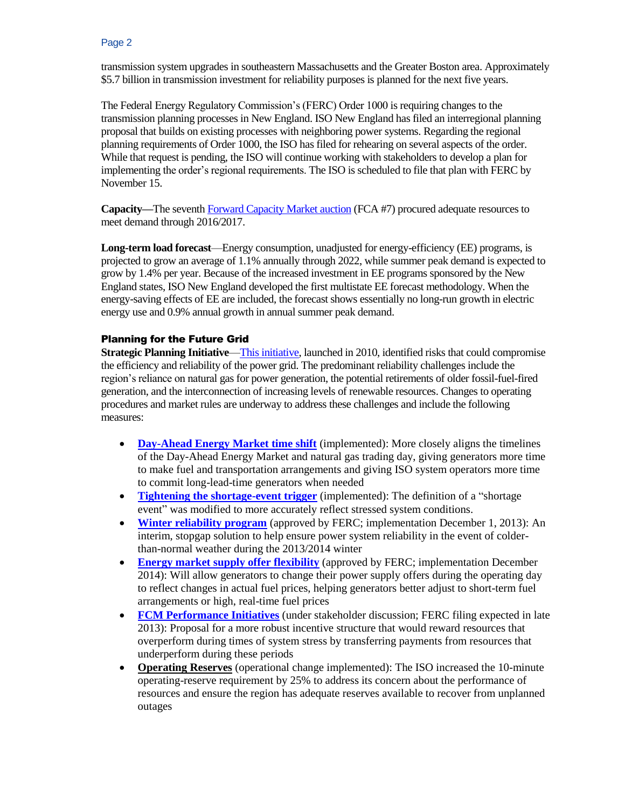transmission system upgrades in southeastern Massachusetts and the Greater Boston area. Approximately \$5.7 billion in transmission investment for reliability purposes is planned for the next five years.

The Federal Energy Regulatory Commission's (FERC) Order 1000 is requiring changes to the transmission planning processes in New England. ISO New England has filed an interregional planning proposal that builds on existing processes with neighboring power systems. Regarding the regional planning requirements of Order 1000, the ISO has filed for rehearing on several aspects of the order. While that request is pending, the ISO will continue working with stakeholders to develop a plan for implementing the order's regional requirements. The ISO is scheduled to file that plan with FERC by November 15.

**Capacity—**The sevent[h Forward Capacity Market auction](http://www.iso-ne.com/nwsiss/pr/2013/fca7_filing_final_02272013.pdf) (FCA #7) procured adequate resources to meet demand through 2016/2017.

**Long-term load forecast**—Energy consumption, unadjusted for energy-efficiency (EE) programs, is projected to grow an average of 1.1% annually through 2022, while summer peak demand is expected to grow by 1.4% per year. Because of the increased investment in EE programs sponsored by the New England states, ISO New England developed the first multistate EE forecast methodology. When the energy-saving effects of EE are included, the forecast shows essentially no long-run growth in electric energy use and 0.9% annual growth in annual summer peak demand.

## Planning for the Future Grid

**Strategic Planning Initiative**[—This initiative,](http://isonewswire.com/guide-to-the-grid/) launched in 2010, identified risks that could compromise the efficiency and reliability of the power grid. The predominant reliability challenges include the region's reliance on natural gas for power generation, the potential retirements of older fossil-fuel-fired generation, and the interconnection of increasing levels of renewable resources. Changes to operating procedures and market rules are underway to address these challenges and include the following measures:

- **[Day-Ahead Energy Market time shift](http://isonewswire.com/updates/2013/5/22/spi-news-day-ahead-energy-market-timeline-changes-go-into-ef.html)** (implemented): More closely aligns the timelines of the Day-Ahead Energy Market and natural gas trading day, giving generators more time to make fuel and transportation arrangements and giving ISO system operators more time to commit long-lead-time generators when needed
- **[Tightening the shortage-event trigger](http://isonewswire.com/updates/2013/11/4/spi-news-ferc-accepts-iso-nes-proposal-to-modify-shortage-ev.html)** (implemented): The definition of a "shortage event" was modified to more accurately reflect stressed system conditions.
- **[Winter reliability program](http://isonewswire.com/updates/2013/9/18/ferc-accepts-iso-nes-proposed-winter-20132014-reliability-pr.html)** (approved by FERC; implementation December 1, 2013): An interim, stopgap solution to help ensure power system reliability in the event of colderthan-normal weather during the 2013/2014 winter
- **[Energy market supply offer](http://isonewswire.com/updates/2013/10/10/ferc-accepts-iso-ne-and-nepool-proposal-for-flexible-energy.html) flexibility** (approved by FERC; implementation December 2014): Will allow generators to change their power supply offers during the operating day to reflect changes in actual fuel prices, helping generators better adjust to short-term fuel arrangements or high, real-time fuel prices
- **[FCM Performance Initiatives](http://isonewswire.com/updates/2012/10/31/spi-news-iso-new-england-releases-capacity-market-white-pape.html)** (under stakeholder discussion; FERC filing expected in late 2013): Proposal for a more robust incentive structure that would reward resources that overperform during times of system stress by transferring payments from resources that underperform during these periods
- **Operating Reserves** (operational change implemented): The ISO increased the 10-minute operating-reserve requirement by 25% to address its concern about the performance of resources and ensure the region has adequate reserves available to recover from unplanned outages